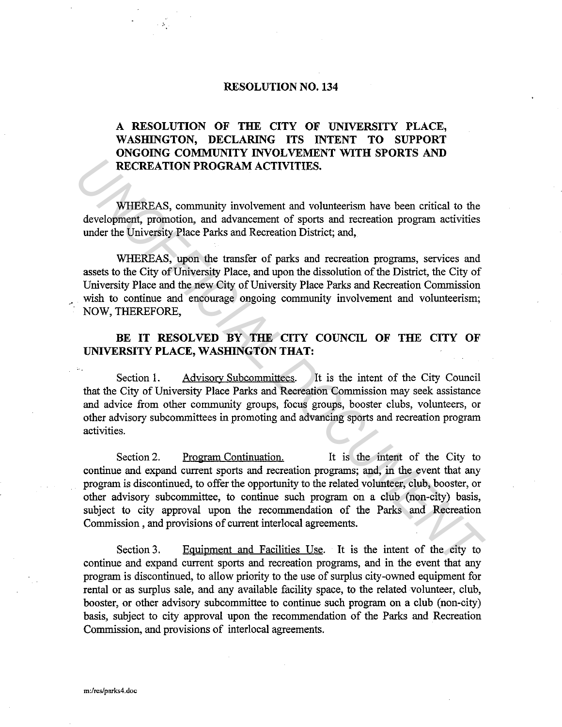## **RESOLUTION NO. 134**

## **A RESOLUTION OF THE CITY OF UNIVERSITY PLACE, WASHINGTON, DECLARING ITS INTENT TO SUPPORT ONGOING COMMUNITY INVOLVEMENT WITH SPORTS AND RECREATION PROGRAM ACTIVITIES.**

WHEREAS, community involvement and volunteerism have been critical to the development, promotion, and advancement of sports and recreation program activities under the University Place Parks and Recreation District; and,

WHEREAS, upon the transfer of parks and recreation programs, services and assets to the City of University Place, and upon the dissolution of the District, the City of University Place and the new City of University Place Parks and Recreation Commission wish to continue and encourage ongoing community involvement and volunteerism; NOW, THEREFORE,

## **BE IT RESOLVED BY THE CITY COUNCIL OF THE CITY OF UNIVERSITY PLACE, WASHINGTON THAT:**

Section 1. Advisory Subcommittees. It is the intent of the City Council that the City of University Place Parks and Recreation Commission may seek assistance and advice from other community groups, focus groups, booster clubs, volunteers, or other advisory subcommittees in promoting and advancing sports and recreation program activities.

Section 2. Program Continuation. It is the intent of the City to continue and expand current sports and recreation programs; and, in the event that any program is discontinued, to offer the opportunity to the related volunteer, club, booster, or other advisory subcommittee, to continue such program on a club (non-city) basis, subject to city approval upon the recommendation of the Parks and Recreation Commission , and provisions of current interlocal agreements. **RECREATION PROGRAM ACTIVITIES.**<br> **WHEREAS, community involvement and volunteerism have been critical to the development, promotion, and advancement of sports and recreation programs, services and seses to the City of Univ** 

Section 3. Equipment and Facilities Use. It is the intent of the city to continue and expand current sports and recreation programs, and in the event that any program is discontinued, to allow priority to the use of surplus city-owned equipment for rental or as surplus sale, and any available facility space, to the related volunteer, club, booster, or other advisory subcommittee to continue such program on a club (non-city) basis, subject to city approval upon the recommendation of the Parks and Recreation Commission, and provisions of interlocal agreements.